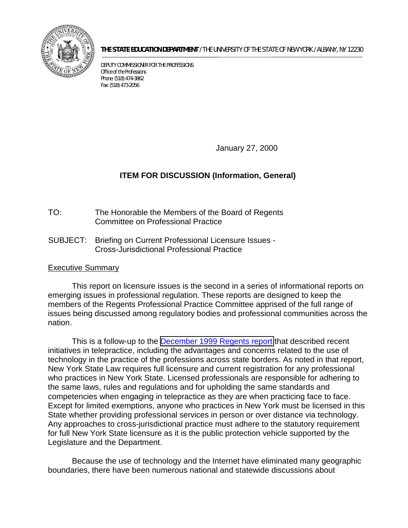

**THE STATE EDUCATION DEPARTMENT** / THE UNIVERSITY OF THE STATE OF NEW YORK / ALBANY, NY 12230

DEPUTY COMMISSIONER FOR THE PROFESSIONS Office of the Professions Phone: (518) 474-3862 Fax: (518) 473-2056

January 27, 2000

# **ITEM FOR DISCUSSION (Information, General)**

- TO: The Honorable the Members of the Board of Regents Committee on Professional Practice
- SUBJECT: Briefing on Current Professional Licensure Issues -Cross-Jurisdictional Professional Practice

### Executive Summary

This report on licensure issues is the second in a series of informational reports on emerging issues in professional regulation. These reports are designed to keep the members of the Regents Professional Practice Committee apprised of the full range of issues being discussed among regulatory bodies and professional communities across the nation.

 competencies when engaging in telepractice as they are when practicing face to face. This is a follow-up to the December 1999 Regents report that described recent initiatives in telepractice, including the advantages and concerns related to the use of technology in the practice of the professions across state borders. As noted in that report, New York State Law requires full licensure and current registration for any professional who practices in New York State. Licensed professionals are responsible for adhering to the same laws, rules and regulations and for upholding the same standards and Except for limited exemptions, anyone who practices in New York must be licensed in this State whether providing professional services in person or over distance via technology. Any approaches to cross-jurisdictional practice must adhere to the statutory requirement for full New York State licensure as it is the public protection vehicle supported by the Legislature and the Department.

Because the use of technology and the Internet have eliminated many geographic boundaries, there have been numerous national and statewide discussions about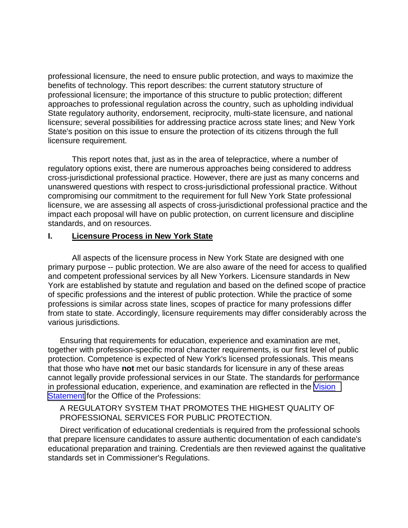professional licensure, the need to ensure public protection, and ways to maximize the benefits of technology. This report describes: the current statutory structure of professional licensure; the importance of this structure to public protection; different approaches to professional regulation across the country, such as upholding individual State regulatory authority, endorsement, reciprocity, multi-state licensure, and national licensure; several possibilities for addressing practice across state lines; and New York State's position on this issue to ensure the protection of its citizens through the full licensure requirement.

 compromising our commitment to the requirement for full New York State professional This report notes that, just as in the area of telepractice, where a number of regulatory options exist, there are numerous approaches being considered to address cross-jurisdictional professional practice. However, there are just as many concerns and unanswered questions with respect to cross-jurisdictional professional practice. Without licensure, we are assessing all aspects of cross-jurisdictional professional practice and the impact each proposal will have on public protection, on current licensure and discipline standards, and on resources.

#### **I. Licensure Process in New York State**

All aspects of the licensure process in New York State are designed with one primary purpose -- public protection. We are also aware of the need for access to qualified and competent professional services by all New Yorkers. Licensure standards in New York are established by statute and regulation and based on the defined scope of practice of specific professions and the interest of public protection. While the practice of some professions is similar across state lines, scopes of practice for many professions differ from state to state. Accordingly, licensure requirements may differ considerably across the various jurisdictions.

 protection. Competence is expected of New York's licensed professionals. This means Ensuring that requirements for education, experience and examination are met, together with profession-specific moral character requirements, is our first level of public that those who have **not** met our basic standards for licensure in any of these areas cannot legally provide professional services in our State. The standards for performance in professional education, experience, and examination are reflected in the Vision Statement for the Office of the Professions:

#### A REGULATORY SYSTEM THAT PROMOTES THE HIGHEST QUALITY OF PROFESSIONAL SERVICES FOR PUBLIC PROTECTION.

Direct verification of educational credentials is required from the professional schools that prepare licensure candidates to assure authentic documentation of each candidate's educational preparation and training. Credentials are then reviewed against the qualitative standards set in Commissioner's Regulations.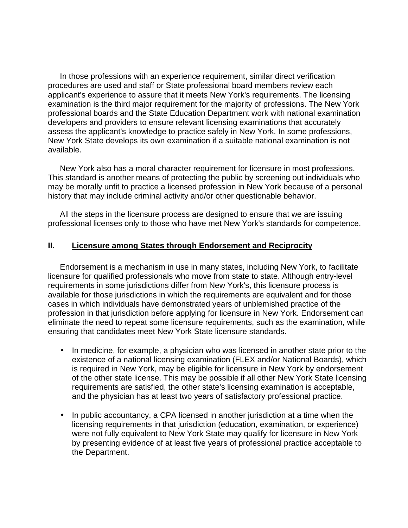In those professions with an experience requirement, similar direct verification procedures are used and staff or State professional board members review each applicant's experience to assure that it meets New York's requirements. The licensing examination is the third major requirement for the majority of professions. The New York professional boards and the State Education Department work with national examination developers and providers to ensure relevant licensing examinations that accurately assess the applicant's knowledge to practice safely in New York. In some professions, New York State develops its own examination if a suitable national examination is not available.

 This standard is another means of protecting the public by screening out individuals who New York also has a moral character requirement for licensure in most professions. may be morally unfit to practice a licensed profession in New York because of a personal history that may include criminal activity and/or other questionable behavior.

All the steps in the licensure process are designed to ensure that we are issuing professional licenses only to those who have met New York's standards for competence.

### **II. Licensure among States through Endorsement and Reciprocity**

Endorsement is a mechanism in use in many states, including New York, to facilitate licensure for qualified professionals who move from state to state. Although entry-level requirements in some jurisdictions differ from New York's, this licensure process is available for those jurisdictions in which the requirements are equivalent and for those cases in which individuals have demonstrated years of unblemished practice of the profession in that jurisdiction before applying for licensure in New York. Endorsement can eliminate the need to repeat some licensure requirements, such as the examination, while ensuring that candidates meet New York State licensure standards.

- of the other state license. This may be possible if all other New York State licensing • In medicine, for example, a physician who was licensed in another state prior to the existence of a national licensing examination (FLEX and/or National Boards), which is required in New York, may be eligible for licensure in New York by endorsement requirements are satisfied, the other state's licensing examination is acceptable, and the physician has at least two years of satisfactory professional practice.
- In public accountancy, a CPA licensed in another jurisdiction at a time when the licensing requirements in that jurisdiction (education, examination, or experience) were not fully equivalent to New York State may qualify for licensure in New York by presenting evidence of at least five years of professional practice acceptable to the Department.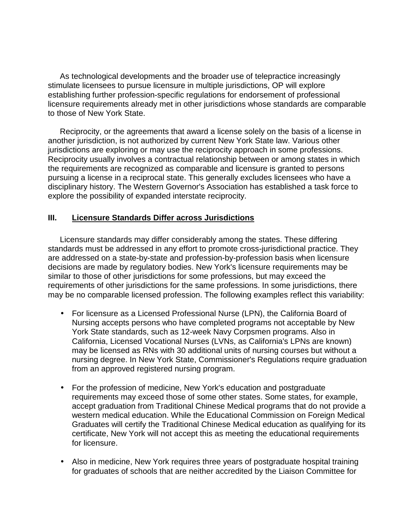As technological developments and the broader use of telepractice increasingly stimulate licensees to pursue licensure in multiple jurisdictions, OP will explore establishing further profession-specific regulations for endorsement of professional licensure requirements already met in other jurisdictions whose standards are comparable to those of New York State.

Reciprocity, or the agreements that award a license solely on the basis of a license in another jurisdiction, is not authorized by current New York State law. Various other jurisdictions are exploring or may use the reciprocity approach in some professions. Reciprocity usually involves a contractual relationship between or among states in which the requirements are recognized as comparable and licensure is granted to persons pursuing a license in a reciprocal state. This generally excludes licensees who have a disciplinary history. The Western Governor's Association has established a task force to explore the possibility of expanded interstate reciprocity.

### **III. Licensure Standards Differ across Jurisdictions**

Licensure standards may differ considerably among the states. These differing standards must be addressed in any effort to promote cross-jurisdictional practice. They are addressed on a state-by-state and profession-by-profession basis when licensure decisions are made by regulatory bodies. New York's licensure requirements may be similar to those of other jurisdictions for some professions, but may exceed the requirements of other jurisdictions for the same professions. In some jurisdictions, there may be no comparable licensed profession. The following examples reflect this variability:

- For licensure as a Licensed Professional Nurse (LPN), the California Board of Nursing accepts persons who have completed programs not acceptable by New York State standards, such as 12-week Navy Corpsmen programs. Also in California, Licensed Vocational Nurses (LVNs, as California's LPNs are known) may be licensed as RNs with 30 additional units of nursing courses but without a nursing degree. In New York State, Commissioner's Regulations require graduation from an approved registered nursing program.
- For the profession of medicine, New York's education and postgraduate requirements may exceed those of some other states. Some states, for example, accept graduation from Traditional Chinese Medical programs that do not provide a western medical education. While the Educational Commission on Foreign Medical Graduates will certify the Traditional Chinese Medical education as qualifying for its certificate, New York will not accept this as meeting the educational requirements for licensure.
- Also in medicine, New York requires three years of postgraduate hospital training for graduates of schools that are neither accredited by the Liaison Committee for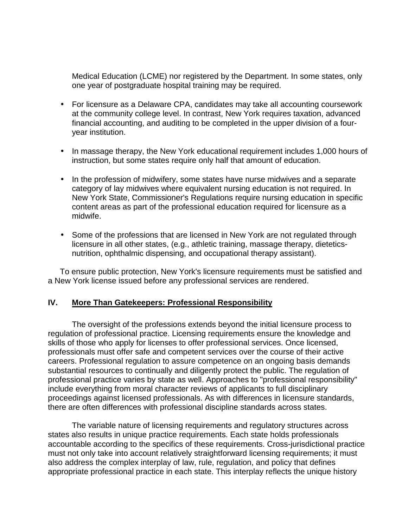Medical Education (LCME) nor registered by the Department. In some states, only one year of postgraduate hospital training may be required.

- For licensure as a Delaware CPA, candidates may take all accounting coursework at the community college level. In contrast, New York requires taxation, advanced financial accounting, and auditing to be completed in the upper division of a fouryear institution.
- In massage therapy, the New York educational requirement includes 1,000 hours of instruction, but some states require only half that amount of education.
- In the profession of midwifery, some states have nurse midwives and a separate category of lay midwives where equivalent nursing education is not required. In New York State, Commissioner's Regulations require nursing education in specific content areas as part of the professional education required for licensure as a midwife.
- Some of the professions that are licensed in New York are not regulated through licensure in all other states, (e.g., athletic training, massage therapy, dieteticsnutrition, ophthalmic dispensing, and occupational therapy assistant).

To ensure public protection, New York's licensure requirements must be satisfied and a New York license issued before any professional services are rendered.

### **IV. More Than Gatekeepers: Professional Responsibility**

 professionals must offer safe and competent services over the course of their active The oversight of the professions extends beyond the initial licensure process to regulation of professional practice. Licensing requirements ensure the knowledge and skills of those who apply for licenses to offer professional services. Once licensed, careers. Professional regulation to assure competence on an ongoing basis demands substantial resources to continually and diligently protect the public. The regulation of professional practice varies by state as well. Approaches to "professional responsibility" include everything from moral character reviews of applicants to full disciplinary proceedings against licensed professionals. As with differences in licensure standards, there are often differences with professional discipline standards across states.

The variable nature of licensing requirements and regulatory structures across states also results in unique practice requirements. Each state holds professionals accountable according to the specifics of these requirements. Cross-jurisdictional practice must not only take into account relatively straightforward licensing requirements; it must also address the complex interplay of law, rule, regulation, and policy that defines appropriate professional practice in each state. This interplay reflects the unique history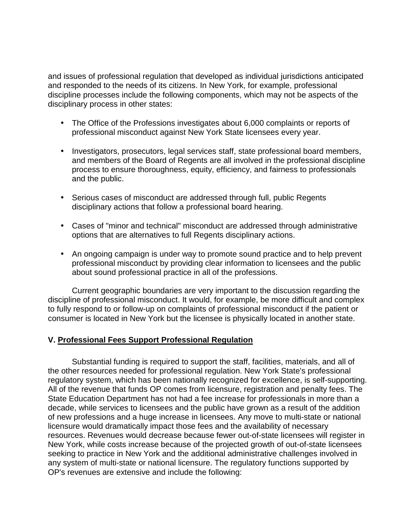and issues of professional regulation that developed as individual jurisdictions anticipated and responded to the needs of its citizens. In New York, for example, professional discipline processes include the following components, which may not be aspects of the disciplinary process in other states:

- The Office of the Professions investigates about 6,000 complaints or reports of professional misconduct against New York State licensees every year.
- Investigators, prosecutors, legal services staff, state professional board members, and members of the Board of Regents are all involved in the professional discipline process to ensure thoroughness, equity, efficiency, and fairness to professionals and the public.
- Serious cases of misconduct are addressed through full, public Regents disciplinary actions that follow a professional board hearing.
- Cases of "minor and technical" misconduct are addressed through administrative options that are alternatives to full Regents disciplinary actions.
- An ongoing campaign is under way to promote sound practice and to help prevent professional misconduct by providing clear information to licensees and the public about sound professional practice in all of the professions.

Current geographic boundaries are very important to the discussion regarding the discipline of professional misconduct. It would, for example, be more difficult and complex to fully respond to or follow-up on complaints of professional misconduct if the patient or consumer is located in New York but the licensee is physically located in another state.

### **V. Professional Fees Support Professional Regulation**

 licensure would dramatically impact those fees and the availability of necessary Substantial funding is required to support the staff, facilities, materials, and all of the other resources needed for professional regulation. New York State's professional regulatory system, which has been nationally recognized for excellence, is self-supporting. All of the revenue that funds OP comes from licensure, registration and penalty fees. The State Education Department has not had a fee increase for professionals in more than a decade, while services to licensees and the public have grown as a result of the addition of new professions and a huge increase in licensees. Any move to multi-state or national resources. Revenues would decrease because fewer out-of-state licensees will register in New York, while costs increase because of the projected growth of out-of-state licensees seeking to practice in New York and the additional administrative challenges involved in any system of multi-state or national licensure. The regulatory functions supported by OP's revenues are extensive and include the following: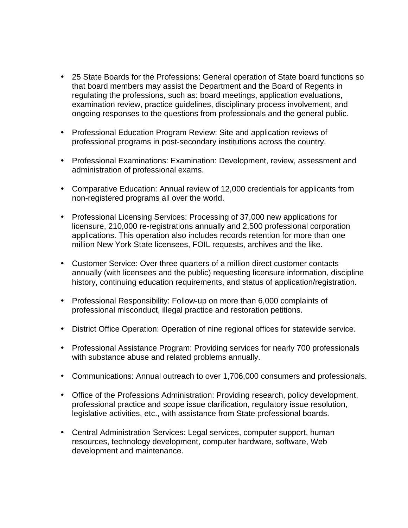- 25 State Boards for the Professions: General operation of State board functions so that board members may assist the Department and the Board of Regents in regulating the professions, such as: board meetings, application evaluations, examination review, practice guidelines, disciplinary process involvement, and ongoing responses to the questions from professionals and the general public.
- Professional Education Program Review: Site and application reviews of professional programs in post-secondary institutions across the country.
- Professional Examinations: Examination: Development, review, assessment and administration of professional exams.
- Comparative Education: Annual review of 12,000 credentials for applicants from non-registered programs all over the world.
- applications. This operation also includes records retention for more than one • Professional Licensing Services: Processing of 37,000 new applications for licensure, 210,000 re-registrations annually and 2,500 professional corporation million New York State licensees, FOIL requests, archives and the like.
- Customer Service: Over three quarters of a million direct customer contacts annually (with licensees and the public) requesting licensure information, discipline history, continuing education requirements, and status of application/registration.
- Professional Responsibility: Follow-up on more than 6,000 complaints of professional misconduct, illegal practice and restoration petitions.
- District Office Operation: Operation of nine regional offices for statewide service.
- Professional Assistance Program: Providing services for nearly 700 professionals with substance abuse and related problems annually.
- Communications: Annual outreach to over 1,706,000 consumers and professionals.
- Office of the Professions Administration: Providing research, policy development, professional practice and scope issue clarification, regulatory issue resolution, legislative activities, etc., with assistance from State professional boards.
- Central Administration Services: Legal services, computer support, human resources, technology development, computer hardware, software, Web development and maintenance.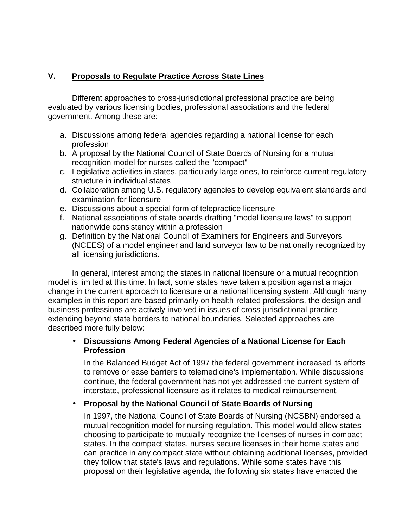## **V. Proposals to Regulate Practice Across State Lines**

Different approaches to cross-jurisdictional professional practice are being evaluated by various licensing bodies, professional associations and the federal government. Among these are:

- a. Discussions among federal agencies regarding a national license for each profession
- b. A proposal by the National Council of State Boards of Nursing for a mutual recognition model for nurses called the "compact"
- c. Legislative activities in states, particularly large ones, to reinforce current regulatory structure in individual states
- d. Collaboration among U.S. regulatory agencies to develop equivalent standards and examination for licensure
- e. Discussions about a special form of telepractice licensure
- f. National associations of state boards drafting "model licensure laws" to support nationwide consistency within a profession
- (NCEES) of a model engineer and land surveyor law to be nationally recognized by g. Definition by the National Council of Examiners for Engineers and Surveyors all licensing jurisdictions.

In general, interest among the states in national licensure or a mutual recognition model is limited at this time. In fact, some states have taken a position against a major change in the current approach to licensure or a national licensing system. Although many examples in this report are based primarily on health-related professions, the design and business professions are actively involved in issues of cross-jurisdictional practice extending beyond state borders to national boundaries. Selected approaches are described more fully below:

### • **Discussions Among Federal Agencies of a National License for Each Profession**

In the Balanced Budget Act of 1997 the federal government increased its efforts to remove or ease barriers to telemedicine's implementation. While discussions continue, the federal government has not yet addressed the current system of interstate, professional licensure as it relates to medical reimbursement.

### • **Proposal by the National Council of State Boards of Nursing**

In 1997, the National Council of State Boards of Nursing (NCSBN) endorsed a mutual recognition model for nursing regulation. This model would allow states choosing to participate to mutually recognize the licenses of nurses in compact states. In the compact states, nurses secure licenses in their home states and can practice in any compact state without obtaining additional licenses, provided they follow that state's laws and regulations. While some states have this proposal on their legislative agenda, the following six states have enacted the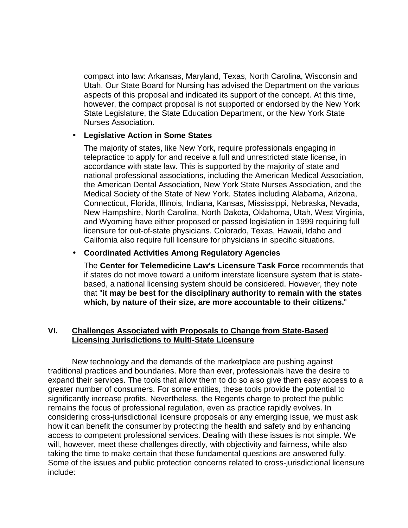compact into law: Arkansas, Maryland, Texas, North Carolina, Wisconsin and Utah. Our State Board for Nursing has advised the Department on the various aspects of this proposal and indicated its support of the concept. At this time, however, the compact proposal is not supported or endorsed by the New York State Legislature, the State Education Department, or the New York State Nurses Association.

#### • **Legislative Action in Some States**

The majority of states, like New York, require professionals engaging in telepractice to apply for and receive a full and unrestricted state license, in accordance with state law. This is supported by the majority of state and national professional associations, including the American Medical Association, the American Dental Association, New York State Nurses Association, and the Medical Society of the State of New York. States including Alabama, Arizona, Connecticut, Florida, Illinois, Indiana, Kansas, Mississippi, Nebraska, Nevada, New Hampshire, North Carolina, North Dakota, Oklahoma, Utah, West Virginia, and Wyoming have either proposed or passed legislation in 1999 requiring full licensure for out-of-state physicians. Colorado, Texas, Hawaii, Idaho and California also require full licensure for physicians in specific situations.

#### • **Coordinated Activities Among Regulatory Agencies**

The **Center for Telemedicine Law's Licensure Task Force** recommends that if states do not move toward a uniform interstate licensure system that is statebased, a national licensing system should be considered. However, they note that "**it may be best for the disciplinary authority to remain with the states which, by nature of their size, are more accountable to their citizens.**"

### **VI. Challenges Associated with Proposals to Change from State-Based Licensing Jurisdictions to Multi-State Licensure**

New technology and the demands of the marketplace are pushing against traditional practices and boundaries. More than ever, professionals have the desire to expand their services. The tools that allow them to do so also give them easy access to a greater number of consumers. For some entities, these tools provide the potential to significantly increase profits. Nevertheless, the Regents charge to protect the public remains the focus of professional regulation, even as practice rapidly evolves. In considering cross-jurisdictional licensure proposals or any emerging issue, we must ask how it can benefit the consumer by protecting the health and safety and by enhancing access to competent professional services. Dealing with these issues is not simple. We will, however, meet these challenges directly, with objectivity and fairness, while also taking the time to make certain that these fundamental questions are answered fully. Some of the issues and public protection concerns related to cross-jurisdictional licensure include: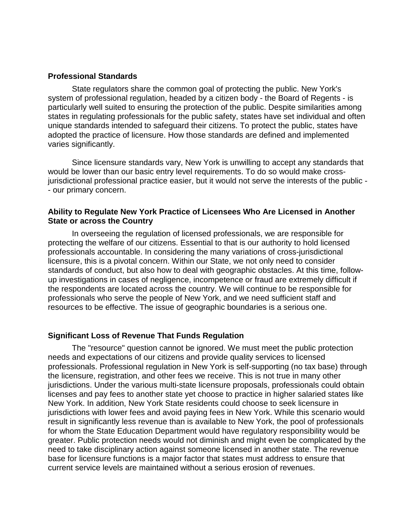#### **Professional Standards**

 State regulators share the common goal of protecting the public. New York's system of professional regulation, headed by a citizen body - the Board of Regents - is particularly well suited to ensuring the protection of the public. Despite similarities among states in regulating professionals for the public safety, states have set individual and often unique standards intended to safeguard their citizens. To protect the public, states have adopted the practice of licensure. How those standards are defined and implemented varies significantly.

Since licensure standards vary, New York is unwilling to accept any standards that would be lower than our basic entry level requirements. To do so would make crossjurisdictional professional practice easier, but it would not serve the interests of the public - - our primary concern.

### **Ability to Regulate New York Practice of Licensees Who Are Licensed in Another State or across the Country**

In overseeing the regulation of licensed professionals, we are responsible for protecting the welfare of our citizens. Essential to that is our authority to hold licensed professionals accountable. In considering the many variations of cross-jurisdictional licensure, this is a pivotal concern. Within our State, we not only need to consider standards of conduct, but also how to deal with geographic obstacles. At this time, followup investigations in cases of negligence, incompetence or fraud are extremely difficult if the respondents are located across the country. We will continue to be responsible for professionals who serve the people of New York, and we need sufficient staff and resources to be effective. The issue of geographic boundaries is a serious one.

### **Significant Loss of Revenue That Funds Regulation**

The "resource" question cannot be ignored. We must meet the public protection needs and expectations of our citizens and provide quality services to licensed professionals. Professional regulation in New York is self-supporting (no tax base) through the licensure, registration, and other fees we receive. This is not true in many other jurisdictions. Under the various multi-state licensure proposals, professionals could obtain licenses and pay fees to another state yet choose to practice in higher salaried states like New York. In addition, New York State residents could choose to seek licensure in jurisdictions with lower fees and avoid paying fees in New York. While this scenario would result in significantly less revenue than is available to New York, the pool of professionals for whom the State Education Department would have regulatory responsibility would be greater. Public protection needs would not diminish and might even be complicated by the need to take disciplinary action against someone licensed in another state. The revenue base for licensure functions is a major factor that states must address to ensure that current service levels are maintained without a serious erosion of revenues.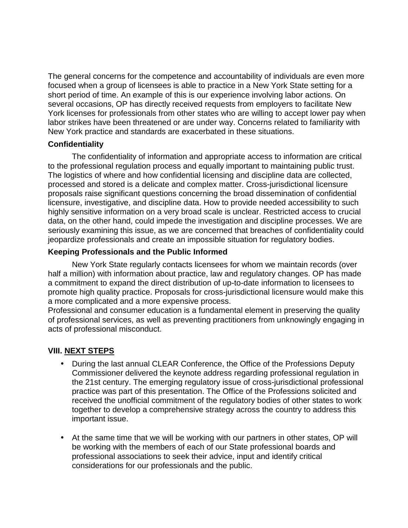labor strikes have been threatened or are under way. Concerns related to familiarity with The general concerns for the competence and accountability of individuals are even more focused when a group of licensees is able to practice in a New York State setting for a short period of time. An example of this is our experience involving labor actions. On several occasions, OP has directly received requests from employers to facilitate New York licenses for professionals from other states who are willing to accept lower pay when New York practice and standards are exacerbated in these situations.

### **Confidentiality**

The confidentiality of information and appropriate access to information are critical to the professional regulation process and equally important to maintaining public trust. The logistics of where and how confidential licensing and discipline data are collected, processed and stored is a delicate and complex matter. Cross-jurisdictional licensure proposals raise significant questions concerning the broad dissemination of confidential licensure, investigative, and discipline data. How to provide needed accessibility to such highly sensitive information on a very broad scale is unclear. Restricted access to crucial data, on the other hand, could impede the investigation and discipline processes. We are seriously examining this issue, as we are concerned that breaches of confidentiality could jeopardize professionals and create an impossible situation for regulatory bodies.

### **Keeping Professionals and the Public Informed**

New York State regularly contacts licensees for whom we maintain records (over half a million) with information about practice, law and regulatory changes. OP has made a commitment to expand the direct distribution of up-to-date information to licensees to promote high quality practice. Proposals for cross-jurisdictional licensure would make this a more complicated and a more expensive process.

Professional and consumer education is a fundamental element in preserving the quality of professional services, as well as preventing practitioners from unknowingly engaging in acts of professional misconduct.

### **VIII. NEXT STEPS**

- During the last annual CLEAR Conference, the Office of the Professions Deputy Commissioner delivered the keynote address regarding professional regulation in the 21st century. The emerging regulatory issue of cross-jurisdictional professional practice was part of this presentation. The Office of the Professions solicited and received the unofficial commitment of the regulatory bodies of other states to work together to develop a comprehensive strategy across the country to address this important issue.
- be working with the members of each of our State professional boards and • At the same time that we will be working with our partners in other states, OP will professional associations to seek their advice, input and identify critical considerations for our professionals and the public.